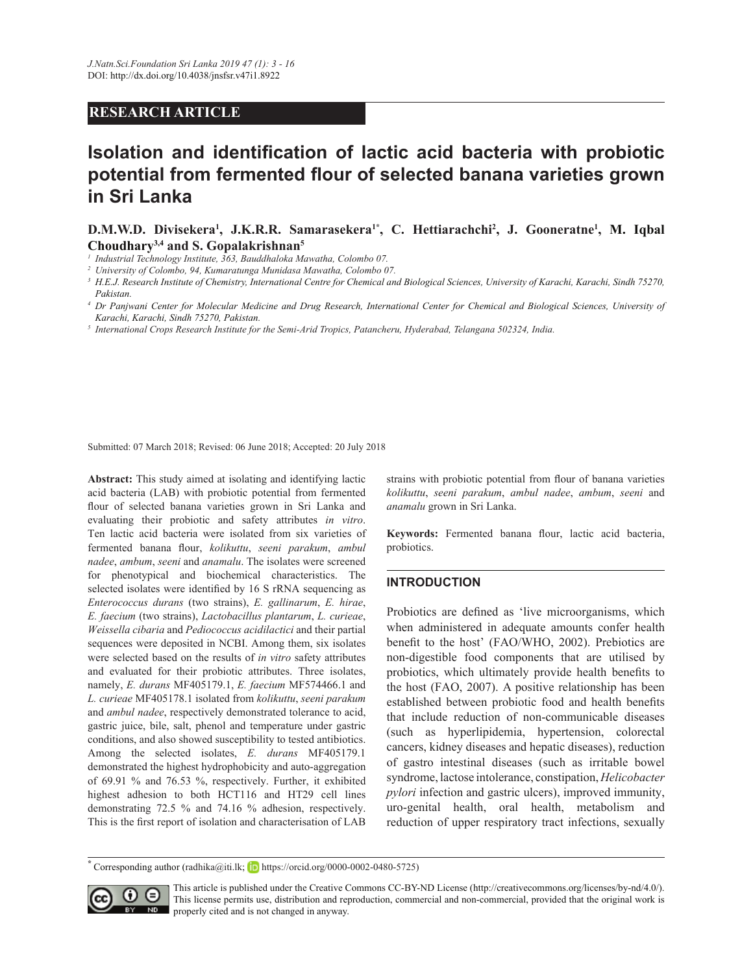# **RESEARCH ARTICLE**

# Isolation and identification of lactic acid bacteria with probiotic potential from fermented flour of selected banana varieties grown **in Sri Lanka**

**D.M.W.D.** Divisekera<sup>1</sup>, J.K.R.R. Samarasekera<sup>1\*</sup>, C. Hettiarachchi<sup>2</sup>, J. Gooneratne<sup>1</sup>, M. Iqbal Choudhary<sup>3,4</sup> and S. Gopalakrishnan<sup>5</sup>

*1 Industrial Technology Institute, 363, Bauddhaloka Mawatha, Colombo 07.*

*2 University of Colombo, 94, Kumaratunga Munidasa Mawatha, Colombo 07.*

*3 H.E.J. Research Institute of Chemistry, International Centre for Chemical and Biological Sciences, University of Karachi, Karachi, Sindh 75270, Pakistan.*

- *4 Dr Panjwani Center for Molecular Medicine and Drug Research, International Center for Chemical and Biological Sciences, University of Karachi, Karachi, Sindh 75270, Pakistan.*
- <sup>5</sup> International Crops Research Institute for the Semi-Arid Tropics, Patancheru, Hyderabad, Telangana 502324, India.

Submitted: 07 March 2018; Revised: 06 June 2018; Accepted: 20 July 2018

Abstract: This study aimed at isolating and identifying lactic acid bacteria (LAB) with probiotic potential from fermented flour of selected banana varieties grown in Sri Lanka and evaluating their probiotic and safety attributes *in vitro*. Ten lactic acid bacteria were isolated from six varieties of fermented banana flour, kolikuttu, seeni parakum, ambul *nadeeambumseeni* and *anamalu*. The isolates were screened for phenotypical and biochemical characteristics. The selected isolates were identified by 16 S rRNA sequencing as *Enterococcus durans* (two strains), *E. gallinarum*, *E. hirae*, *E. faecium* (two strains), *Lactobacillus plantarum*, *L. curieae*, *Weissella cibaria* and *Pediococcus acidilactici* and their partial sequences were deposited in NCBI. Among them, six isolates were selected based on the results of *in vitro* safety attributes and evaluated for their probiotic attributes. Three isolates, namely, *E. durans MF405179.1, E. faecium MF574466.1* and *L. curieae* MF405178.1 isolated from kolikuttu, seeni parakum and *ambul nadee*, respectively demonstrated tolerance to acid, gastric juice, bile, salt, phenol and temperature under gastric conditions, and also showed susceptibility to tested antibiotics. Among the selected isolates, *E. durans* MF405179.1 demonstrated the highest hydrophobicity and auto-aggregation of 69.91 % and 76.53 %, respectively. Further, it exhibited highest adhesion to both HCT116 and HT29 cell lines demonstrating  $72.5\%$  and  $74.16\%$  adhesion, respectively. This is the first report of isolation and characterisation of LAB

strains with probiotic potential from flour of banana varieties *kolikuttu seeni parakum ambul nadee ambum seeni* and *anamalu* grown in Sri Lanka.

Keywords: Fermented banana flour, lactic acid bacteria, probiotics.

# **INTRODUCTION**

Probiotics are defined as 'live microorganisms, which when administered in adequate amounts confer health benefit to the host' (FAO/WHO, 2002). Prebiotics are non-digestible food components that are utilised by probiotics, which ultimately provide health benefits to the host (FAO, 2007). A positive relationship has been established between probiotic food and health benefits that include reduction of non-communicable diseases (such as hyperlipidemia, hypertension, colorectal cancers, kidney diseases and hepatic diseases), reduction of gastro intestinal diseases (such as irritable bowel syndrome, lactose intolerance, constipation, Helicobacter *pylori* infection and gastric ulcers), improved immunity, uro-genital health, oral health, metabolism and reduction of upper respiratory tract infections, sexually

Corresponding author (radhika@iti.lk;  $\Box$  https://orcid.org/0000-0002-0480-5725)



This article is published under the Creative Commons CC-BY-ND License (http://creativecommons.org/licenses/by-nd/4.0/). This license permits use, distribution and reproduction, commercial and non-commercial, provided that the original work is **ND** properly cited and is not changed in anyway.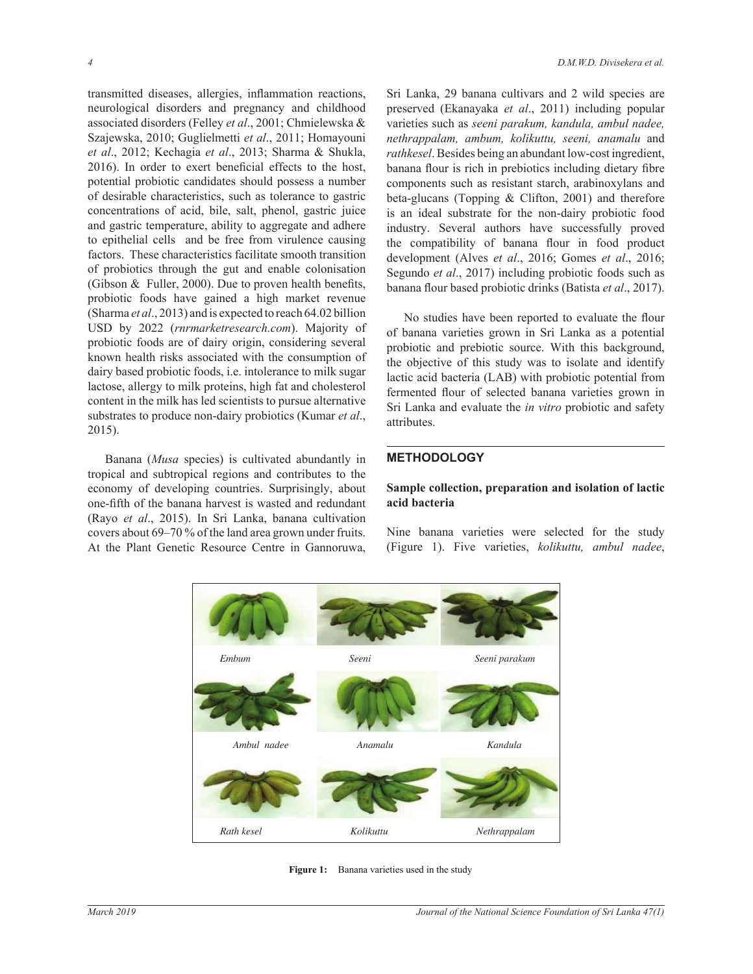transmitted diseases, allergies, inflammation reactions, neurological disorders and pregnancy and childhood associated disorders (Felley et al., 2001; Chmielewska & Szajewska, 2010; Guglielmetti et al., 2011; Homayouni *et al.*, 2012; Kechagia *et al.*, 2013; Sharma & Shukla, 2016). In order to exert beneficial effects to the host, potential probiotic candidates should possess a number of desirable characteristics, such as tolerance to gastric concentrations of acid, bile, salt, phenol, gastric juice and gastric temperature, ability to aggregate and adhere to epithelial cells and be free from virulence causing factors. These characteristics facilitate smooth transition of probiotics through the gut and enable colonisation (Gibson & Fuller, 2000). Due to proven health benefits, probiotic foods have gained a high market revenue (Sharma *et al.*, 2013) and is expected to reach 64.02 billion USD by 2022 (*rnrmarketresearch.com*). Majority of probiotic foods are of dairy origin, considering several known health risks associated with the consumption of dairy based probiotic foods, i.e. intolerance to milk sugar lactose, allergy to milk proteins, high fat and cholesterol content in the milk has led scientists to pursue alternative substrates to produce non-dairy probiotics (Kumar *et al*  $2015$ ).

 Banana (*Musa* species) is cultivated abundantly in tropical and subtropical regions and contributes to the economy of developing countries. Surprisingly, about one-fifth of the banana harvest is wasted and redundant (Rayo et al., 2015). In Sri Lanka, banana cultivation covers about  $69-70\%$  of the land area grown under fruits. At the Plant Genetic Resource Centre in Gannoruwa,

Sri Lanka, 29 banana cultivars and 2 wild species are preserved (Ekanayaka et al., 2011) including popular varieties such as *seeni parakum, kandula, ambul nadee, nethrappalam, ambum, kolikuttu, seeni, anamalu* and *rathkesel*. Besides being an abundant low-cost ingredient, banana flour is rich in prebiotics including dietary fibre components such as resistant starch, arabinoxylans and beta-glucans (Topping  $&$  Clifton, 2001) and therefore is an ideal substrate for the non-dairy probiotic food industry. Several authors have successfully proved the compatibility of banana flour in food product development (Alves *et al.*, 2016; Gomes *et al.*, 2016; Segundo *et al.*, 2017) including probiotic foods such as banana flour based probiotic drinks (Batista et al., 2017).

No studies have been reported to evaluate the flour of banana varieties grown in Sri Lanka as a potential probiotic and prebiotic source. With this background, the objective of this study was to isolate and identify lactic acid bacteria (LAB) with probiotic potential from fermented flour of selected banana varieties grown in Sri Lanka and evaluate the *in vitro* probiotic and safety attributes.

## **METHODOLOGY**

# **Sample collection, preparation and isolation of lactic** acid bacteria

Nine banana varieties were selected for the study (Figure 1). Five varieties, kolikuttu, ambul nadee,



**Figure 1:** Banana varieties used in the study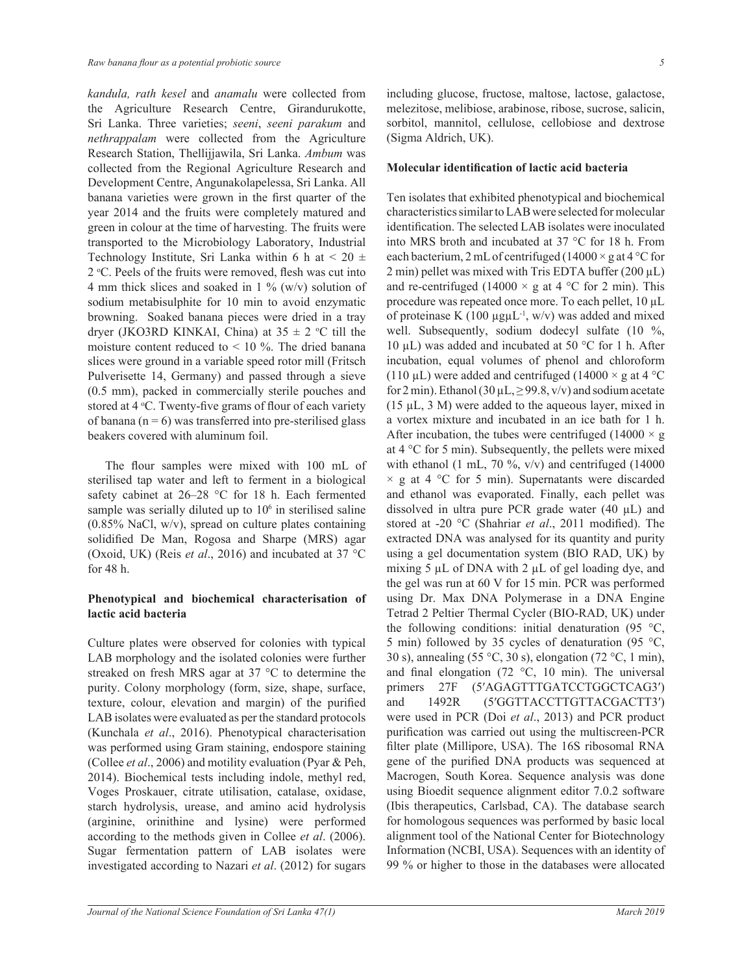*kandula, rath kesel* and *anamalu* were collected from the Agriculture Research Centre, Girandurukotte, Sri Lanka. Three varieties; *seeni*, *seeni parakum* and *nethrappalam* were collected from the Agriculture Research Station, Thellijjawila, Sri Lanka. Ambum was collected from the Regional Agriculture Research and Development Centre, Angunakolapelessa, Sri Lanka. All banana varieties were grown in the first quarter of the year 2014 and the fruits were completely matured and green in colour at the time of harvesting. The fruits were transported to the Microbiology Laboratory, Industrial Technology Institute, Sri Lanka within 6 h at  $< 20 \pm$ 2 °C. Peels of the fruits were removed, flesh was cut into 4 mm thick slices and soaked in 1 % (w/v) solution of sodium metabisulphite for 10 min to avoid enzymatic browning. Soaked banana pieces were dried in a tray dryer (JKO3RD KINKAI, China) at  $35 \pm 2$  °C till the moisture content reduced to  $\lt$  10 %. The dried banana slices were ground in a variable speed rotor mill (Fritsch Pulverisette 14, Germany) and passed through a sieve  $(0.5 \text{ mm})$ , packed in commercially sterile pouches and stored at 4 °C. Twenty-five grams of flour of each variety of banana ( $n = 6$ ) was transferred into pre-sterilised glass beakers covered with aluminum foil.

The flour samples were mixed with 100 mL of sterilised tap water and left to ferment in a biological safety cabinet at 26–28 °C for 18 h. Each fermented sample was serially diluted up to  $10<sup>6</sup>$  in sterilised saline  $(0.85\%$  NaCl, w/v), spread on culture plates containing solidified De Man, Rogosa and Sharpe (MRS) agar (Oxoid, UK) (Reis et al., 2016) and incubated at 37 °C for 48 h.

# Phenotypical and biochemical characterisation of **lactic acid bacteria**

Culture plates were observed for colonies with typical LAB morphology and the isolated colonies were further streaked on fresh MRS agar at 37 °C to determine the purity. Colony morphology (form, size, shape, surface, texture, colour, elevation and margin) of the purified LAB isolates were evaluated as per the standard protocols (Kunchala *et al.*, 2016). Phenotypical characterisation was performed using Gram staining, endospore staining (Collee *et al.*, 2006) and motility evaluation (Pyar & Peh, 2014). Biochemical tests including indole, methyl red, Voges Proskauer, citrate utilisation, catalase, oxidase, starch hydrolysis, urease, and amino acid hydrolysis (arginine, orinithine and lysine) were performed according to the methods given in Collee *et al*. (2006). Sugar fermentation pattern of LAB isolates were investigated according to Nazari *et al*. (2012) for sugars including glucose, fructose, maltose, lactose, galactose, melezitose, melibiose, arabinose, ribose, sucrose, salicin, sorbitol, mannitol, cellulose, cellobiose and dextrose (Sigma Aldrich, UK).

#### **Molecular identification of lactic acid bacteria**

Ten isolates that exhibited phenotypical and biochemical characteristics similar to LAB were selected for molecular identification. The selected LAB isolates were inoculated into MRS broth and incubated at 37 °C for 18 h. From each bacterium, 2 mL of centrifuged (14000  $\times$  g at 4 °C for  $2 \text{ min}$ ) pellet was mixed with Tris EDTA buffer ( $200 \mu L$ ) and re-centrifuged (14000  $\times$  g at 4 °C for 2 min). This procedure was repeated once more. To each pellet,  $10 \mu L$ of proteinase K (100  $\mu$ g $\mu$ L<sup>-1</sup>, w/v) was added and mixed well. Subsequently, sodium dodecyl sulfate  $(10 \degree\%$ , 10  $\mu$ L) was added and incubated at 50 °C for 1 h. After incubation, equal volumes of phenol and chloroform (110 µL) were added and centrifuged (14000  $\times$  g at 4 °C for 2 min). Ethanol (30  $\mu$ L,  $\geq$  99.8, v/v) and sodium acetate  $(15 \mu L, 3 M)$  were added to the aqueous layer, mixed in a vortex mixture and incubated in an ice bath for 1 h. After incubation, the tubes were centrifuged (14000  $\times$  g at 4  $\degree$ C for 5 min). Subsequently, the pellets were mixed with ethanol (1 mL, 70 %,  $v/v$ ) and centrifuged (14000  $\times$  g at 4 °C for 5 min). Supernatants were discarded and ethanol was evaporated. Finally, each pellet was dissolved in ultra pure PCR grade water (40 µL) and stored at -20 °C (Shahriar et al., 2011 modified). The extracted DNA was analysed for its quantity and purity using a gel documentation system (BIO RAD, UK) by mixing 5  $\mu$ L of DNA with 2  $\mu$ L of gel loading dye, and the gel was run at 60 V for 15 min. PCR was performed using Dr. Max DNA Polymerase in a DNA Engine Tetrad 2 Peltier Thermal Cycler (BIO-RAD, UK) under the following conditions: initial denaturation (95  $\degree$ C, 5 min) followed by 35 cycles of denaturation (95  $\degree$ C, 30 s), annealing (55 °C, 30 s), elongation (72 °C, 1 min), and final elongation (72  $\degree$ C, 10 min). The universal primers 27F (5'AGAGTTTGATCCTGGCTCAG3') and 1492R (5'GGTTACCTTGTTACGACTT3') were used in PCR (Doi et al., 2013) and PCR product purification was carried out using the multiscreen-PCR filter plate (Millipore, USA). The 16S ribosomal RNA gene of the purified DNA products was sequenced at Macrogen, South Korea. Sequence analysis was done using Bioedit sequence alignment editor 7.0.2 software (Ibis therapeutics, Carlsbad, CA). The database search for homologous sequences was performed by basic local alignment tool of the National Center for Biotechnology Information (NCBI, USA). Sequences with an identity of 99 % or higher to those in the databases were allocated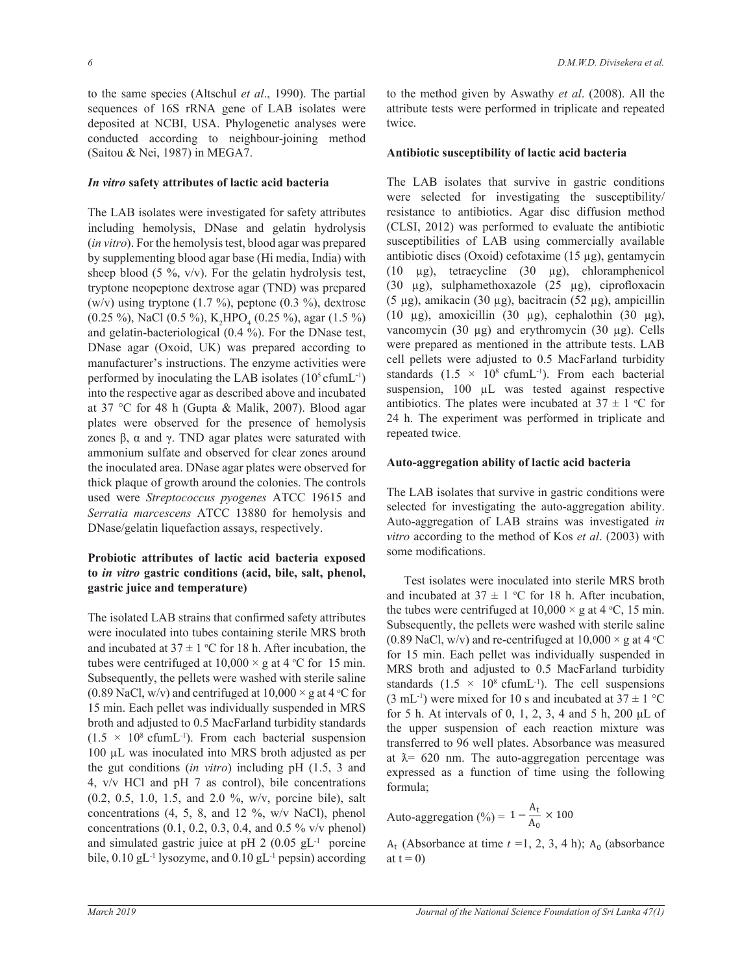to the same species (Altschul *et al.*, 1990). The partial sequences of 16S rRNA gene of LAB isolates were deposited at NCBI, USA. Phylogenetic analyses were conducted according to neighbour-joining method (Saitou & Nei, 1987) in MEGA7.

# *In vitro* safety attributes of lactic acid bacteria

The LAB isolates were investigated for safety attributes including hemolysis, DNase and gelatin hydrolysis (*in vitro*). For the hemolysis test, blood agar was prepared by supplementing blood agar base (Hi media, India) with sheep blood (5 %,  $v/v$ ). For the gelatin hydrolysis test, tryptone neopeptone dextrose agar (TND) was prepared (w/v) using tryptone (1.7 %), peptone (0.3 %), dextrose (0.25 %), NaCl (0.5 %),  $K_2 HPO_4$  (0.25 %), agar (1.5 %) and gelatin-bacteriological  $(0.4 \%)$ . For the DNase test, DNase agar (Oxoid, UK) was prepared according to manufacturer's instructions. The enzyme activities were performed by inoculating the LAB isolates  $(10^5 \text{ cfum}L^{-1})$ into the respective agar as described above and incubated at 37 °C for 48 h (Gupta & Malik, 2007). Blood agar plates were observed for the presence of hemolysis zones  $\beta$ ,  $\alpha$  and  $\gamma$ . TND agar plates were saturated with ammonium sulfate and observed for clear zones around the inoculated area. DNase agar plates were observed for thick plaque of growth around the colonies. The controls used were *Streptococcus pyogenes* ATCC 19615 and *Serratia marcescens* ATCC 13880 for hemolysis and DNase/gelatin liquefaction assays, respectively.

# Probiotic attributes of lactic acid bacteria exposed to *in vitro* gastric conditions (acid, bile, salt, phenol, gastric juice and temperature)

The isolated LAB strains that confirmed safety attributes were inoculated into tubes containing sterile MRS broth and incubated at  $37 \pm 1$  °C for 18 h. After incubation, the tubes were centrifuged at  $10,000 \times g$  at 4 °C for 15 min. Subsequently, the pellets were washed with sterile saline (0.89 NaCl, w/v) and centrifuged at  $10,000 \times$  g at 4 °C for 15 min. Each pellet was individually suspended in MRS broth and adjusted to 0.5 MacFarland turbidity standards  $(1.5 \times 10^8 \text{ cfumL}^{-1})$ . From each bacterial suspension 100 µL was inoculated into MRS broth adjusted as per the gut conditions (in vitro) including pH (1.5, 3 and 4,  $v/v$  HCl and pH 7 as control), bile concentrations  $(0.2, 0.5, 1.0, 1.5,$  and  $2.0\%$ , w/v, porcine bile), salt concentrations  $(4, 5, 8, \text{ and } 12, \%$ , w/v NaCl), phenol concentrations  $(0.1, 0.2, 0.3, 0.4, \text{ and } 0.5\%$  v/v phenol) and simulated gastric juice at pH 2  $(0.05 \text{ gL}^{-1})$  porcine bile,  $0.10 \text{ gL}^{-1}$  lysozyme, and  $0.10 \text{ gL}^{-1}$  pepsin) according to the method given by Aswathy *et al*. (2008). All the attribute tests were performed in triplicate and repeated twice.

# Antibiotic susceptibility of lactic acid bacteria

The LAB isolates that survive in gastric conditions were selected for investigating the susceptibility/ resistance to antibiotics. Agar disc diffusion method  $(CLSI, 2012)$  was performed to evaluate the antibiotic susceptibilities of LAB using commercially available antibiotic discs (Oxoid) cefotaxime  $(15 \mu g)$ , gentamycin  $(10 \quad \mu$ g), tetracycline  $(30 \quad \mu$ g), chloramphenicol (30  $\mu$ g), sulphamethoxazole (25  $\mu$ g), ciprofloxacin  $(5 \mu g)$ , amikacin  $(30 \mu g)$ , bacitracin  $(52 \mu g)$ , ampicillin (10  $\mu$ g), amoxicillin (30  $\mu$ g), cephalothin (30  $\mu$ g), vancomycin (30 µg) and erythromycin (30 µg). Cells were prepared as mentioned in the attribute tests. LAB cell pellets were adjusted to 0.5 MacFarland turbidity standards  $(1.5 \times 10^8 \text{ cfumL}^{-1})$ . From each bacterial suspension,  $100 \mu L$  was tested against respective antibiotics. The plates were incubated at  $37 \pm 1$  °C for 24 h. The experiment was performed in triplicate and repeated twice.

# Auto-aggregation ability of lactic acid bacteria

The LAB isolates that survive in gastric conditions were selected for investigating the auto-aggregation ability. Auto-aggregation of LAB strains was investigated *in vitro* according to the method of Kos *et al*. (2003) with some modifications.

 Test isolates were inoculated into sterile MRS broth and incubated at  $37 \pm 1$  °C for 18 h. After incubation, the tubes were centrifuged at  $10,000 \times$  g at 4 °C, 15 min. Subsequently, the pellets were washed with sterile saline (0.89 NaCl, w/v) and re-centrifuged at  $10,000 \times$  g at  $4 \text{ }^{\circ}\text{C}$ for 15 min. Each pellet was individually suspended in MRS broth and adjusted to 0.5 MacFarland turbidity standards  $(1.5 \times 10^8 \text{ cfumL}^{-1})$ . The cell suspensions  $(3 \text{ mL}^{-1})$  were mixed for 10 s and incubated at  $37 \pm 1$  °C for 5 h. At intervals of 0, 1, 2, 3, 4 and 5 h, 200  $\mu$ L of the upper suspension of each reaction mixture was transferred to 96 well plates. Absorbance was measured at  $\lambda$ = 620 nm. The auto-aggregation percentage was expressed as a function of time using the following formula;

Auto-aggregation (%) =  $1 - \frac{A_t}{A}$  $\overline{A_0}$  × 100

 $A_t$  (Absorbance at time  $t = 1, 2, 3, 4$  h);  $A_0$  (absorbance at  $t = 0$ )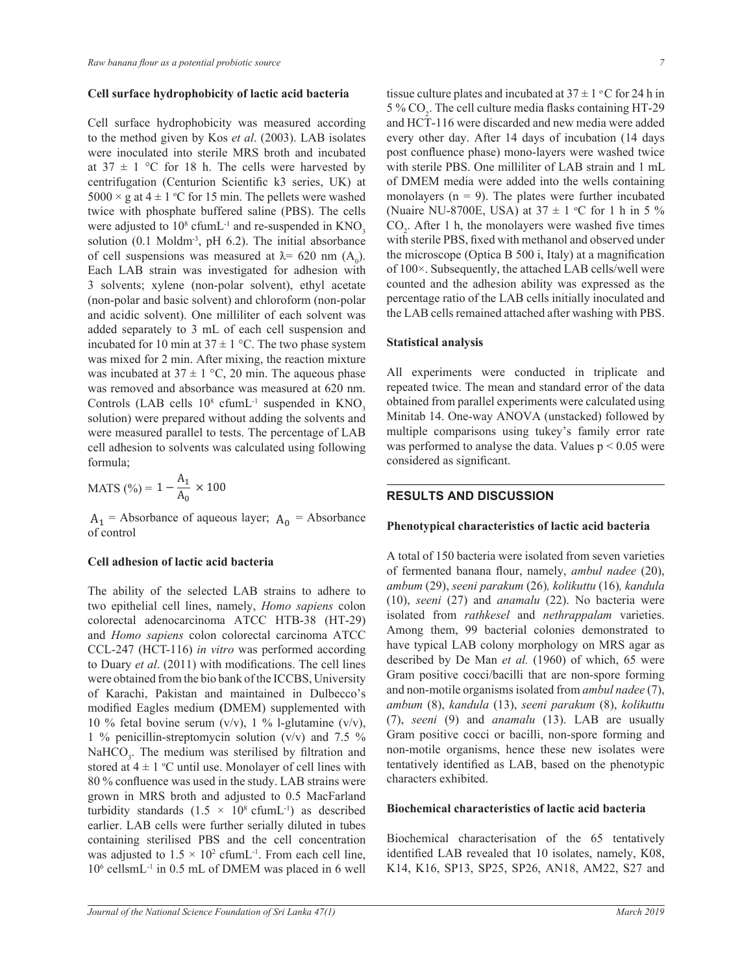## Cell surface hydrophobicity of lactic acid bacteria

Cell surface hydrophobicity was measured according to the method given by Kos *et al*. (2003). LAB isolates were inoculated into sterile MRS broth and incubated at  $37 \pm 1$  °C for 18 h. The cells were harvested by centrifugation (Centurion Scientific k3 series, UK) at  $5000 \times g$  at  $4 \pm 1$  °C for 15 min. The pellets were washed twice with phosphate buffered saline (PBS). The cells were adjusted to  $10^8$  cfumL<sup>-1</sup> and re-suspended in  $KNO_3$ solution (0.1 Moldm<sup>-3</sup>, pH 6.2). The initial absorbance of cell suspensions was measured at  $\lambda = 620$  nm  $(A_0)$ . Each LAB strain was investigated for adhesion with 3 solvents; xylene (non-polar solvent), ethyl acetate (non-polar and basic solvent) and chloroform (non-polar and acidic solvent). One milliliter of each solvent was added separately to 3 mL of each cell suspension and incubated for 10 min at 37  $\pm$  1 °C. The two phase system was mixed for 2 min. After mixing, the reaction mixture was incubated at  $37 \pm 1$  °C, 20 min. The aqueous phase was removed and absorbance was measured at 620 nm. Controls (LAB cells  $10^8$  cfumL<sup>-1</sup> suspended in  $KNO_3$ solution) were prepared without adding the solvents and were measured parallel to tests. The percentage of LAB cell adhesion to solvents was calculated using following formula;

MATS (
$$
\frac{\%}{\text{A}_0} = 1 - \frac{A_1}{A_0} \times 100
$$

 $A_1$  = Absorbance of aqueous layer;  $A_0$  = Absorbance of control

# **Cell adhesion of lactic acid bacteria**

The ability of the selected LAB strains to adhere to two epithelial cell lines, namely, *Homo sapiens* colon colorectal adenocarcinoma ATCC HTB-38 (HT-29) and *Homo sapiens* colon colorectal carcinoma ATCC CCL-247 (HCT-116) *in vitro* was performed according to Duary *et al.* (2011) with modifications. The cell lines were obtained from the bio bank of the ICCBS, University of Karachi, Pakistan and maintained in Dulbecco's modified Eagles medium (DMEM) supplemented with 10 % fetal bovine serum ( $v/v$ ), 1 % l-glutamine ( $v/v$ ), 1 % penicillin-streptomycin solution (v/v) and 7.5 % NaHCO<sub>3</sub>. The medium was sterilised by filtration and stored at  $4 \pm 1$  °C until use. Monolayer of cell lines with  $80\%$  confluence was used in the study. LAB strains were grown in MRS broth and adjusted to 0.5 MacFarland turbidity standards  $(1.5 \times 10^8 \text{ cfumL}^{-1})$  as described earlier. LAB cells were further serially diluted in tubes containing sterilised PBS and the cell concentration was adjusted to  $1.5 \times 10^2$  cfumL<sup>-1</sup>. From each cell line,  $10<sup>6</sup>$  cellsmL<sup>-1</sup> in 0.5 mL of DMEM was placed in 6 well tissue culture plates and incubated at  $37 \pm 1$  °C for 24 h in 5 %  $CO<sub>2</sub>$ . The cell culture media flasks containing HT-29 and HCT-116 were discarded and new media were added every other day. After 14 days of incubation (14 days post confluence phase) mono-layers were washed twice with sterile PBS. One milliliter of LAB strain and 1 mL of DMEM media were added into the wells containing monolayers  $(n = 9)$ . The plates were further incubated (Nuaire NU-8700E, USA) at  $37 \pm 1$  °C for 1 h in 5 %  $CO<sub>2</sub>$ . After 1 h, the monolayers were washed five times with sterile PBS, fixed with methanol and observed under the microscope (Optica B 500 i, Italy) at a magnification of 100×. Subsequently, the attached LAB cells/well were counted and the adhesion ability was expressed as the percentage ratio of the LAB cells initially inoculated and the LAB cells remained attached after washing with PBS.

#### **Statistical analysis**

All experiments were conducted in triplicate and repeated twice. The mean and standard error of the data obtained from parallel experiments were calculated using Minitab 14. One-way ANOVA (unstacked) followed by multiple comparisons using tukey's family error rate was performed to analyse the data. Values  $p < 0.05$  were considered as significant.

## **RESULTS AND DISCUSSION**

#### Phenotypical characteristics of lactic acid bacteria

A total of 150 bacteria were isolated from seven varieties of fermented banana flour, namely, *ambul nadee* (20), *ambum seeni parakum* (26)*, kolikuttu* (16)*, kandula seeni* (27) and *anamalu* (22). No bacteria were isolated from *rathkesel* and *nethrappalam* varieties. Among them, 99 bacterial colonies demonstrated to have typical LAB colony morphology on MRS agar as described by De Man et al. (1960) of which, 65 were Gram positive cocci/bacilli that are non-spore forming and non-motile organisms isolated from *ambul nadee* ambum (8), kandula (13), seeni parakum (8), kolikuttu *seeni* (9) and *anamalu* (13). LAB are usually Gram positive cocci or bacilli, non-spore forming and non-motile organisms, hence these new isolates were tentatively identified as LAB, based on the phenotypic characters exhibited.

# **Biochemical characteristics of lactic acid bacteria**

Biochemical characterisation of the 65 tentatively identified LAB revealed that 10 isolates, namely, K08, K14, K16, SP13, SP25, SP26, AN18, AM22, S27 and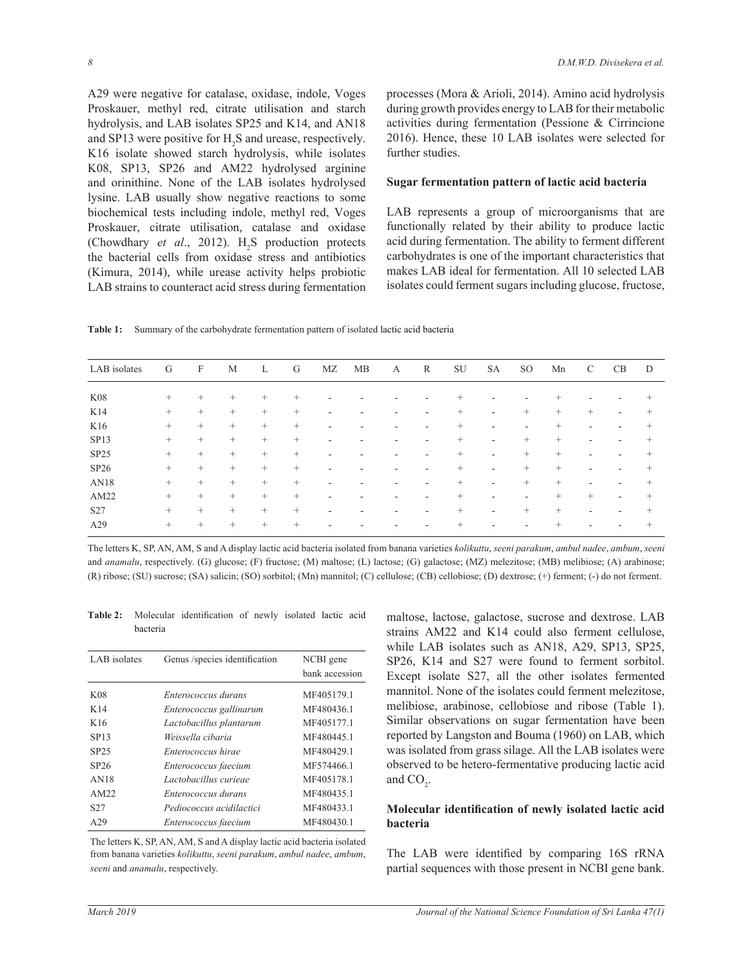A29 were negative for catalase, oxidase, indole, Voges Proskauer, methyl red, citrate utilisation and starch hydrolysis, and LAB isolates  $SP25$  and  $K14$ , and  $AN18$ and SP13 were positive for  $H_2S$  and urease, respectively. K16 isolate showed starch hydrolysis, while isolates K08, SP13, SP26 and AM22 hydrolysed arginine and orinithine. None of the LAB isolates hydrolysed lysine. LAB usually show negative reactions to some biochemical tests including indole, methyl red, Voges Proskauer, citrate utilisation, catalase and oxidase (Chowdhary *et al.*, 2012).  $H_2S$  production protects the bacterial cells from oxidase stress and antibiotics  $K$ imura, 2014), while urease activity helps probiotic LAB strains to counteract acid stress during fermentation

processes (Mora & Arioli, 2014). Amino acid hydrolysis during growth provides energy to LAB for their metabolic activities during fermentation (Pessione  $\&$  Cirrincione 2016). Hence, these 10 LAB isolates were selected for further studies.

## **Sugar fermentation pattern of lactic acid bacteria**

LAB represents a group of microorganisms that are functionally related by their ability to produce lactic acid during fermentation. The ability to ferment different carbohydrates is one of the important characteristics that makes LAB ideal for fermentation. All 10 selected LAB isolates could ferment sugars including glucose, fructose,

Table 1: Summary of the carbohydrate fermentation pattern of isolated lactic acid bacteria

| LAB isolates     | G      | $\mathbf{F}$ | M      | L      | G      | МZ                       | МB | А | R                            | SU     | <b>SA</b>                | SO.    | Mn     | C      | <b>CB</b> | D      |
|------------------|--------|--------------|--------|--------|--------|--------------------------|----|---|------------------------------|--------|--------------------------|--------|--------|--------|-----------|--------|
| <b>K08</b>       | $^{+}$ | $^{+}$       | $^{+}$ | $^{+}$ | $^{+}$ | -                        |    |   |                              | $^{+}$ |                          |        | $^{+}$ |        |           | $^+$   |
| K14              | $\! +$ | $^{+}$       | $+$    | $^{+}$ | $^{+}$ | $\overline{\phantom{a}}$ | ٠  |   | $\qquad \qquad \blacksquare$ | $^{+}$ | $\overline{\phantom{a}}$ | $+$    | $^{+}$ | $^{+}$ | ۰         | $^+$   |
| K16              | $\! +$ | $^{+}$       | $^{+}$ | $^{+}$ | $^{+}$ | $\overline{\phantom{a}}$ |    |   | ۰                            | $^{+}$ | ٠                        |        | $^{+}$ | ۰      |           | $^+$   |
| SP <sub>13</sub> | $\! +$ | $^{+}$       | $^{+}$ | $^{+}$ | $^{+}$ | ٠                        | ۰  |   | ۰                            | $^{+}$ | $\overline{\phantom{a}}$ | $^{+}$ | $^{+}$ | ۰      | ۰         | $^+$   |
| SP25             | $^{+}$ | $^{+}$       | $+$    | $^{+}$ | $^{+}$ | ٠                        | ٠  | - | ۰                            | $^{+}$ | $\overline{\phantom{a}}$ | $^{+}$ | $^{+}$ | ٠      | ۰         | $^+$   |
| SP26             | $^{+}$ | $^{+}$       | $+$    | $^{+}$ | $^{+}$ | ٠                        | ۰  | ۰ | ۰                            | $^{+}$ | $\sim$                   | $^{+}$ | $^{+}$ | ٠      | ۰         | $^+$   |
| AN18             | $^{+}$ | $^{+}$       | $^{+}$ | $^{+}$ | $^{+}$ | $\overline{\phantom{a}}$ | ٠  |   | -                            | $^{+}$ | $\overline{\phantom{a}}$ | $^{+}$ | $^{+}$ | ٠      |           | $^{+}$ |
| AM22             | $\! +$ | $^{+}$       | $^{+}$ | $^{+}$ | $^{+}$ | $\overline{\phantom{a}}$ | ٠  |   | -                            | $^{+}$ | $\overline{\phantom{a}}$ | ۰      | $^{+}$ | $^{+}$ | ٠         | $^{+}$ |
| S27              | $\! +$ | $^{+}$       | $+$    | $^{+}$ | $^{+}$ | $\overline{\phantom{a}}$ | ۰  |   | ۰                            | $^{+}$ | ٠                        | $^{+}$ | $^{+}$ |        | ۰         | $^{+}$ |
| A29              | $^{+}$ | $^{+}$       | $+$    | $^{+}$ | $^{+}$ | $\overline{\phantom{a}}$ |    |   |                              | $^{+}$ | ٠                        |        | $^{+}$ | ۰      |           | $^{+}$ |

The letters K, SP, AN, AM, S and A display lactic acid bacteria isolated from banana varieties kolikuttu, seeni parakum, ambul nadee, ambum, seeni and *anamalu*, respectively. (G) glucose; (F) fructose; (M) maltose; (L) lactose; (G) galactose; (MZ) melezitose; (MB) melibiose; (A) arabinose; (R) ribose; (SU) sucrose; (SA) salicin; (SO) sorbitol; (Mn) mannitol; (C) cellulose; (CB) cellobiose; (D) dextrose; (+) ferment; (-) do not ferment.

Table 2: Molecular identification of newly isolated lactic acid bacteria

| LAB isolates     | Genus /species identification | NCBI gene      |
|------------------|-------------------------------|----------------|
|                  |                               | bank accession |
| K <sub>08</sub>  | Enterococcus durans           | MF405179.1     |
| K14              | Enterococcus gallinarum       | MF480436.1     |
| K16              | Lactobacillus plantarum       | MF405177.1     |
| <b>SP13</b>      | Weissella cibaria             | MF480445.1     |
| SP <sub>25</sub> | Enterococcus hirae            | MF480429.1     |
| SP26             | Enterococcus faecium          | MF574466.1     |
| AN18             | Lactobacillus curiege         | MF405178.1     |
| AM22             | Enterococcus durans           | MF480435.1     |
| S <sub>27</sub>  | Pediococcus acidilactici      | MF480433.1     |
| A29              | Enterococcus faecium          | MF480430.1     |

The letters K, SP, AN, AM, S and A display lactic acid bacteria isolated from banana varieties kolikuttu, seeni parakum, ambul nadee, ambum, *seeni* and *anamalu*, respectively.

maltose, lactose, galactose, sucrose and dextrose. LAB strains AM22 and K14 could also ferment cellulose. while LAB isolates such as AN18, A29, SP13, SP25, SP26, K14 and S27 were found to ferment sorbitol. Except isolate S27, all the other isolates fermented mannitol. None of the isolates could ferment melezitose, melibiose, arabinose, cellobiose and ribose (Table 1). Similar observations on sugar fermentation have been reported by Langston and Bouma (1960) on LAB, which was isolated from grass silage. All the LAB isolates were observed to be hetero-fermentative producing lactic acid and  $CO<sub>2</sub>$ .

# **Molecular identification of newly isolated lactic acid bacteria**

The LAB were identified by comparing 16S rRNA partial sequences with those present in NCBI gene bank.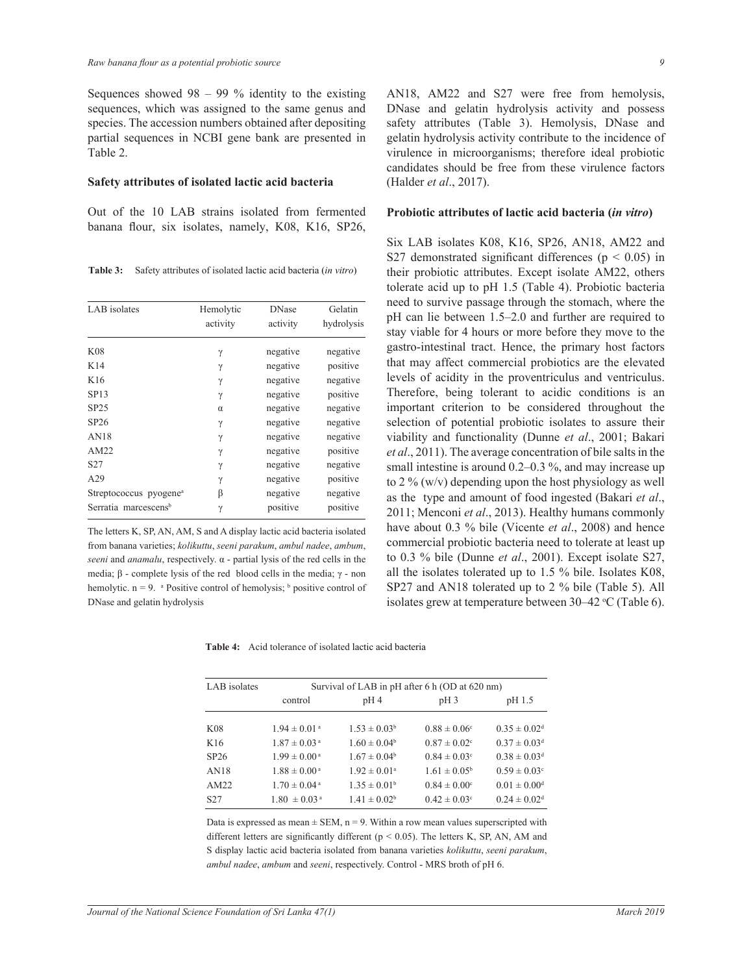Sequences showed  $98 - 99$  % identity to the existing sequences, which was assigned to the same genus and species. The accession numbers obtained after depositing partial sequences in NCBI gene bank are presented in Table 2.

#### Safety attributes of isolated lactic acid bacteria

Out of the 10 LAB strains isolated from fermented banana flour, six isolates, namely, K08, K16, SP26,

Table 3: Safety attributes of isolated lactic acid bacteria (in vitro)

| LAB isolates                       | Hemolytic<br>activity | <b>DNase</b><br>activity | Gelatin<br>hydrolysis |
|------------------------------------|-----------------------|--------------------------|-----------------------|
| K08                                | γ                     | negative                 | negative              |
| K14                                | γ                     | negative                 | positive              |
| K16                                | γ                     | negative                 | negative              |
| <b>SP13</b>                        | γ                     | negative                 | positive              |
| SP25                               | $\alpha$              | negative                 | negative              |
| SP <sub>26</sub>                   | γ                     | negative                 | negative              |
| AN18                               | $\gamma$              | negative                 | negative              |
| AM22                               | γ                     | negative                 | positive              |
| S <sub>27</sub>                    | γ                     | negative                 | negative              |
| A29                                | $\gamma$              | negative                 | positive              |
| Streptococcus pyogene <sup>a</sup> | β                     | negative                 | negative              |
| Serratia marcescens <sup>b</sup>   | γ                     | positive                 | positive              |

The letters K, SP, AN, AM, S and A display lactic acid bacteria isolated from banana varieties; kolikuttu, seeni parakum, ambul nadee, ambum, seeni and anamalu, respectively.  $\alpha$  - partial lysis of the red cells in the media;  $\beta$  - complete lysis of the red blood cells in the media;  $\gamma$  - non hemolytic.  $n = 9$ . <sup>a</sup> Positive control of hemolysis; <sup>b</sup> positive control of DNase and gelatin hydrolysis

AN18, AM22 and S27 were free from hemolysis, DNase and gelatin hydrolysis activity and possess safety attributes (Table 3). Hemolysis, DNase and gelatin hydrolysis activity contribute to the incidence of virulence in microorganisms; therefore ideal probiotic candidates should be free from these virulence factors (Halder et al., 2017).

#### Probiotic attributes of lactic acid bacteria (in vitro)

Six LAB isolates K08, K16, SP26, AN18, AM22 and S27 demonstrated significant differences ( $p < 0.05$ ) in their probiotic attributes. Except isolate AM22, others tolerate acid up to pH 1.5 (Table 4). Probiotic bacteria need to survive passage through the stomach, where the pH can lie between 1.5–2.0 and further are required to stay viable for 4 hours or more before they move to the gastro-intestinal tract. Hence, the primary host factors that may affect commercial probiotics are the elevated levels of acidity in the proventriculus and ventriculus. Therefore, being tolerant to acidic conditions is an important criterion to be considered throughout the selection of potential probiotic isolates to assure their viability and functionality (Dunne et al., 2001; Bakari et al., 2011). The average concentration of bile salts in the small intestine is around  $0.2-0.3$  %, and may increase up to 2 % (w/v) depending upon the host physiology as well as the type and amount of food ingested (Bakari et al., 2011; Menconi et al., 2013). Healthy humans commonly have about 0.3 % bile (Vicente et al., 2008) and hence commercial probiotic bacteria need to tolerate at least up to 0.3 % bile (Dunne *et al.*, 2001). Except isolate  $S27$ , all the isolates tolerated up to  $1.5\%$  bile. Isolates K08, SP27 and AN18 tolerated up to 2 % bile (Table 5). All isolates grew at temperature between 30–42 °C (Table 6).

Table 4: Acid tolerance of isolated lactic acid bacteria

| LAB isolates    | Survival of LAB in pH after 6 h (OD at 620 nm) |                         |                              |                              |  |  |  |
|-----------------|------------------------------------------------|-------------------------|------------------------------|------------------------------|--|--|--|
|                 | control                                        | pH4                     | $pH_3$                       | pH 1.5                       |  |  |  |
| K08             | $1.94 \pm 0.01$ <sup>a</sup>                   | $1.53 \pm 0.03^b$       | $0.88 \pm 0.06$ <sup>c</sup> | $0.35 \pm 0.02$ <sup>d</sup> |  |  |  |
| K16             | $1.87 \pm 0.03$ <sup>a</sup>                   | $1.60 \pm 0.04^b$       | $0.87 \pm 0.02$ <sup>c</sup> | $0.37 \pm 0.03$ <sup>d</sup> |  |  |  |
| SP26            | $1.99 \pm 0.00$ <sup>a</sup>                   | $1.67 \pm 0.04^b$       | $0.84 \pm 0.03$ <sup>c</sup> | $0.38 \pm 0.03$ <sup>d</sup> |  |  |  |
| AN18            | $1.88 \pm 0.00^{\text{ a}}$                    | $1.92 \pm 0.01^{\circ}$ | $1.61 \pm 0.05^b$            | $0.59 \pm 0.03$ <sup>c</sup> |  |  |  |
| AM22            | $1.70 \pm 0.04$ <sup>a</sup>                   | $1.35 \pm 0.01^b$       | $0.84 \pm 0.00$ <sup>c</sup> | $0.01 \pm 0.00$ <sup>d</sup> |  |  |  |
| S <sub>27</sub> | $1.80 \pm 0.03$ <sup>a</sup>                   | $1.41 \pm 0.02^b$       | $0.42 \pm 0.03$ °            | $0.24 \pm 0.02$ <sup>d</sup> |  |  |  |

Data is expressed as mean  $\pm$  SEM, n = 9. Within a row mean values superscripted with different letters are significantly different ( $p < 0.05$ ). The letters K, SP, AN, AM and S display lactic acid bacteria isolated from banana varieties kolikuttu, seeni parakum, ambul nadee, ambum and seeni, respectively. Control - MRS broth of pH 6.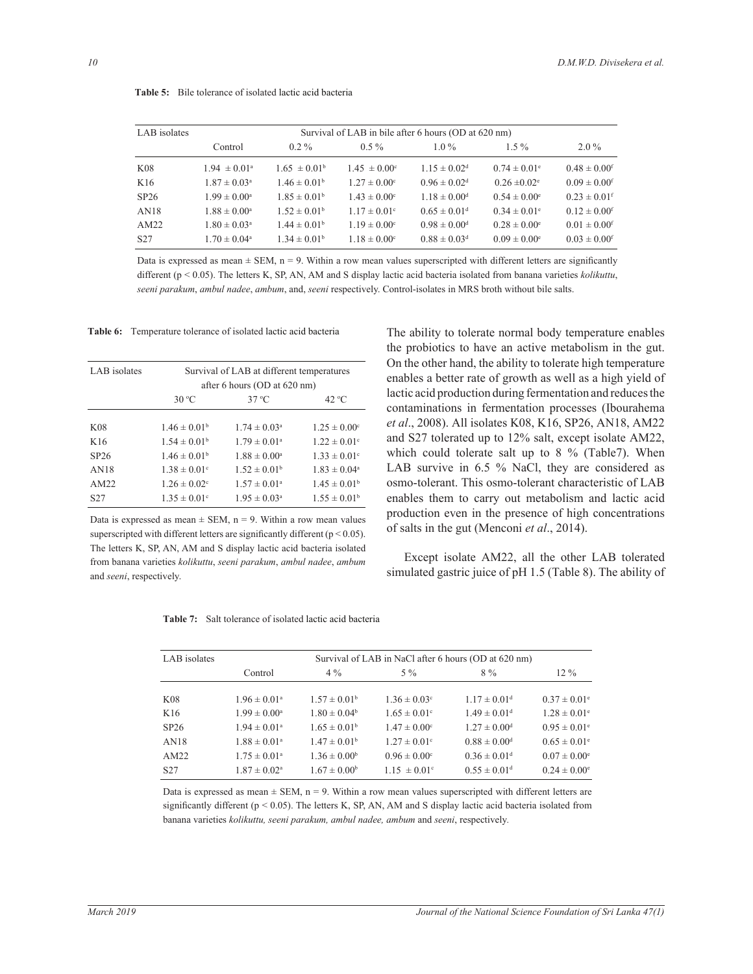| LAB isolates    | Survival of LAB in bile after 6 hours (OD at 620 nm) |                         |                         |                              |                              |                              |
|-----------------|------------------------------------------------------|-------------------------|-------------------------|------------------------------|------------------------------|------------------------------|
|                 | Control                                              | $0.2 \%$                | $0.5 \%$                | $1.0\%$                      | $1.5\%$                      | $2.0\%$                      |
| K08             | $1.94 \pm 0.01^{\circ}$                              | $1.65 \pm 0.01^b$       | $1.45 \pm 0.00^{\circ}$ | $1.15 \pm 0.02$ <sup>d</sup> | $0.74 \pm 0.01$ <sup>e</sup> | $0.48 \pm 0.00$ <sup>f</sup> |
| K16             | $1.87 \pm 0.03^{\circ}$                              | $1.46 \pm 0.01^b$       | $1.27 \pm 0.00^{\circ}$ | $0.96 \pm 0.02$ <sup>d</sup> | $0.26 \pm 0.02$ <sup>e</sup> | $0.09 \pm 0.00$ <sup>f</sup> |
| SP26            | $1.99 \pm 0.00^{\circ}$                              | $1.85 \pm 0.01^{\circ}$ | $1.43 \pm 0.00^{\circ}$ | $1.18 \pm 0.00$ <sup>d</sup> | $0.54 \pm 0.00^{\circ}$      | $0.23 \pm 0.01$ <sup>f</sup> |
| AN18            | $1.88 \pm 0.00^{\circ}$                              | $1.52 \pm 0.01^{\circ}$ | $1.17 \pm 0.01$ °       | $0.65 \pm 0.01$ <sup>d</sup> | $0.34 \pm 0.01$ <sup>e</sup> | $0.12 \pm 0.00$ <sup>f</sup> |
| AM22            | $1.80 \pm 0.03^{\circ}$                              | $1.44 \pm 0.01^{\circ}$ | $1.19 \pm 0.00^{\circ}$ | $0.98 \pm 0.00$ <sup>d</sup> | $0.28 \pm 0.00^{\circ}$      | $0.01 \pm 0.00$ <sup>f</sup> |
| S <sub>27</sub> | $1.70 \pm 0.04^{\circ}$                              | $1.34 \pm 0.01^{\rm b}$ | $1.18 \pm 0.00^{\circ}$ | $0.88 \pm 0.03$ <sup>d</sup> | $0.09 \pm 0.00^{\circ}$      | $0.03 \pm 0.00$ <sup>f</sup> |

**Table 5:** Bile tolerance of isolated lactic acid bacteria

Data is expressed as mean  $\pm$  SEM, n = 9. Within a row mean values superscripted with different letters are significantly different ( $p < 0.05$ ). The letters K, SP, AN, AM and S display lactic acid bacteria isolated from banana varieties *kolikuttu*, *seeni parakum*, *ambul nadee*, *ambum*, and, *seeni* respectively. Control-isolates in MRS broth without bile salts.

Table 6: Temperature tolerance of isolated lactic acid bacteria

| LAB isolates     | Survival of LAB at different temperatures<br>after 6 hours (OD at 620 nm) |                         |                              |  |  |
|------------------|---------------------------------------------------------------------------|-------------------------|------------------------------|--|--|
|                  | $30^{\circ}$ C                                                            | $37^{\circ}$ C          | 42 °C                        |  |  |
|                  |                                                                           |                         |                              |  |  |
| K <sub>08</sub>  | $1.46 \pm 0.01^b$                                                         | $1.74 \pm 0.03^{\circ}$ | $1.25 \pm 0.00^{\circ}$      |  |  |
| K16              | $1.54 \pm 0.01^b$                                                         | $1.79 \pm 0.01^{\circ}$ | $1.22 \pm 0.01$ °            |  |  |
| SP <sub>26</sub> | $1.46 \pm 0.01^b$                                                         | $1.88 \pm 0.00^a$       | $1.33 \pm 0.01$ <sup>c</sup> |  |  |
| AN18             | $1.38 \pm 0.01$ <sup>c</sup>                                              | $1.52 \pm 0.01^{\rm b}$ | $1.83 \pm 0.04^{\circ}$      |  |  |
| AM22             | $1.26 \pm 0.02$ <sup>c</sup>                                              | $1.57 \pm 0.01^{\circ}$ | $1.45 \pm 0.01^b$            |  |  |
| S <sub>27</sub>  | $1.35 \pm 0.01$ <sup>c</sup>                                              | $1.95 \pm 0.03^{\circ}$ | $1.55 \pm 0.01^{\rm b}$      |  |  |

Data is expressed as mean  $\pm$  SEM, n = 9. Within a row mean values superscripted with different letters are significantly different ( $p < 0.05$ ). The letters K, SP, AN, AM and S display lactic acid bacteria isolated from banana varieties *kolikuttu seeni parakum ambul nadeeambum* and *seeni*, respectively.

The ability to tolerate normal body temperature enables the probiotics to have an active metabolism in the gut. On the other hand, the ability to tolerate high temperature enables a better rate of growth as well as a high yield of lactic acid production during fermentation and reduces the contaminations in fermentation processes (Ibourahema *et al.*, 2008). All isolates K08, K16, SP26, AN18, AM22 and S27 tolerated up to  $12\%$  salt, except isolate AM22, which could tolerate salt up to  $8\%$  (Table7). When LAB survive in 6.5 % NaCl, they are considered as osmo-tolerant. This osmo-tolerant characteristic of LAB enables them to carry out metabolism and lactic acid production even in the presence of high concentrations of salts in the gut (Menconi *et al* 

Except isolate AM22, all the other LAB tolerated simulated gastric juice of  $pH$  1.5 (Table 8). The ability of

| <b>Table 7:</b> Salt tolerance of isolated lactic acid bacteria |  |
|-----------------------------------------------------------------|--|
|-----------------------------------------------------------------|--|

| LAB isolates    | Survival of LAB in NaCl after 6 hours (OD at 620 nm) |                         |                              |                              |                              |  |  |  |
|-----------------|------------------------------------------------------|-------------------------|------------------------------|------------------------------|------------------------------|--|--|--|
|                 | Control                                              | $4\%$                   | $5\%$                        | $8\%$                        | $12\%$                       |  |  |  |
|                 |                                                      |                         |                              |                              |                              |  |  |  |
| K08             | $1.96 \pm 0.01^{\circ}$                              | $1.57 \pm 0.01^{\rm b}$ | $1.36 \pm 0.03$ <sup>c</sup> | $1.17 \pm 0.01$ <sup>d</sup> | $0.37 \pm 0.01^{\circ}$      |  |  |  |
| K16             | $1.99 \pm 0.00^{\circ}$                              | $1.80 \pm 0.04^b$       | $1.65 \pm 0.01$ <sup>c</sup> | $1.49 \pm 0.01$ <sup>d</sup> | $1.28 \pm 0.01$ <sup>e</sup> |  |  |  |
| SP26            | $1.94 \pm 0.01^{\circ}$                              | $1.65 \pm 0.01^{\rm b}$ | $1.47 \pm 0.00^{\circ}$      | $1.27 \pm 0.00$ <sup>d</sup> | $0.95 \pm 0.01$ <sup>e</sup> |  |  |  |
| AN18            | $1.88 \pm 0.01^{\circ}$                              | $1.47 \pm 0.01^{\rm b}$ | $1.27 \pm 0.01$ °            | $0.88 \pm 0.00$ <sup>d</sup> | $0.65 \pm 0.01$ <sup>e</sup> |  |  |  |
| AM22            | $1.75 \pm 0.01^{\circ}$                              | $1.36 \pm 0.00^b$       | $0.96 \pm 0.00$ <sup>c</sup> | $0.36 \pm 0.01$ <sup>d</sup> | $0.07 \pm 0.00^{\circ}$      |  |  |  |
| S <sub>27</sub> | $1.87 \pm 0.02$ <sup>a</sup>                         | $1.67 \pm 0.00^b$       | $1.15 \pm 0.01$ °            | $0.55 \pm 0.01$ <sup>d</sup> | $0.24 \pm 0.00^{\circ}$      |  |  |  |

Data is expressed as mean  $\pm$  SEM, n = 9. Within a row mean values superscripted with different letters are significantly different ( $p < 0.05$ ). The letters K, SP, AN, AM and S display lactic acid bacteria isolated from banana varieties *kolikuttu, seeni parakum, ambul nadee, ambum* and *seeni*, respectively.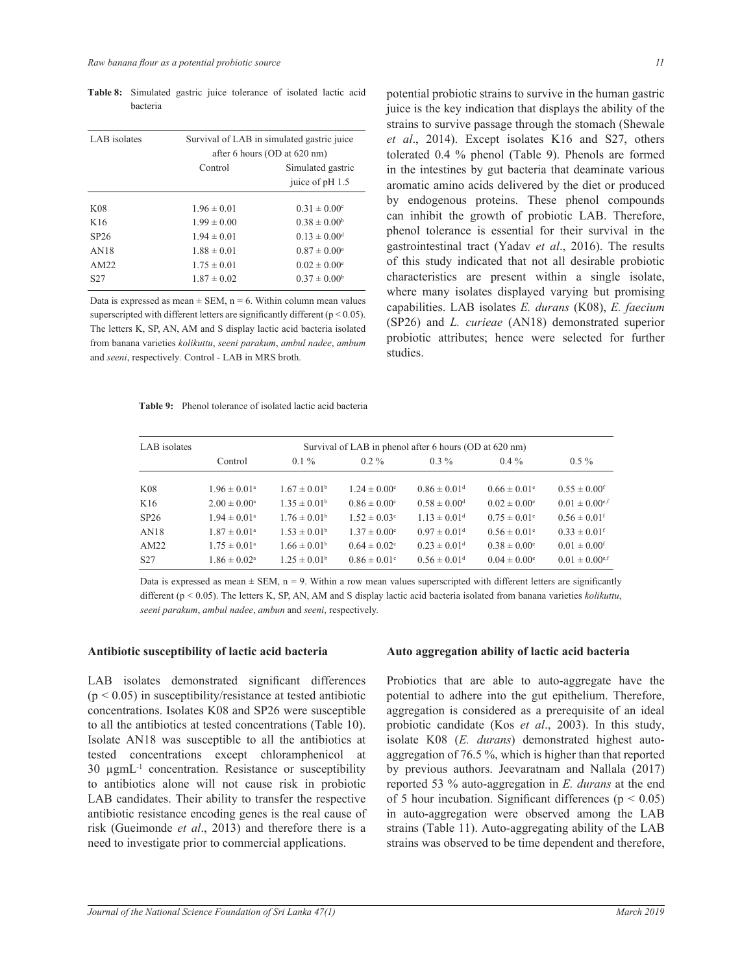| LAB isolates     | Survival of LAB in simulated gastric juice |                              |  |  |  |
|------------------|--------------------------------------------|------------------------------|--|--|--|
|                  |                                            | after 6 hours (OD at 620 nm) |  |  |  |
|                  | Control                                    | Simulated gastric            |  |  |  |
|                  |                                            | juice of pH 1.5              |  |  |  |
|                  |                                            |                              |  |  |  |
| K <sub>08</sub>  | $1.96 \pm 0.01$                            | $0.31 \pm 0.00^{\circ}$      |  |  |  |
| K16              | $1.99 \pm 0.00$                            | $0.38 \pm 0.00^b$            |  |  |  |
| SP <sub>26</sub> | $1.94 \pm 0.01$                            | $0.13 \pm 0.00$ <sup>d</sup> |  |  |  |
| AN18             | $1.88 \pm 0.01$                            | $0.87 \pm 0.00^{\circ}$      |  |  |  |
| AM22             | $1.75 \pm 0.01$                            | $0.02 \pm 0.00^{\circ}$      |  |  |  |
| S <sub>27</sub>  | $1.87 \pm 0.02$                            | $0.37 \pm 0.00^b$            |  |  |  |

Table 8: Simulated gastric juice tolerance of isolated lactic acid hacteria

Data is expressed as mean  $\pm$  SEM, n = 6. Within column mean values superscripted with different letters are significantly different  $(p < 0.05)$ . The letters K, SP, AN, AM and S display lactic acid bacteria isolated from banana varieties kolikuttu, seeni parakum, ambul nadee, ambum and seeni, respectively. Control - LAB in MRS broth.

| <b>Table 9:</b> Phenol tolerance of isolated lactic acid bacteria |  |
|-------------------------------------------------------------------|--|
|-------------------------------------------------------------------|--|

potential probiotic strains to survive in the human gastric juice is the key indication that displays the ability of the strains to survive passage through the stomach (Shewale et al., 2014). Except isolates K16 and S27, others tolerated 0.4 % phenol (Table 9). Phenols are formed in the intestines by gut bacteria that deaminate various aromatic amino acids delivered by the diet or produced by endogenous proteins. These phenol compounds can inhibit the growth of probiotic LAB. Therefore, phenol tolerance is essential for their survival in the gastrointestinal tract (Yadav et al., 2016). The results of this study indicated that not all desirable probiotic characteristics are present within a single isolate, where many isolates displayed varying but promising capabilities. LAB isolates E. durans (K08), E. faecium (SP26) and *L. curieae* (AN18) demonstrated superior probiotic attributes; hence were selected for further studies.

| LAB isolates    | Survival of LAB in phenol after 6 hours (OD at 620 nm) |                         |                              |                              |                              |                                |  |
|-----------------|--------------------------------------------------------|-------------------------|------------------------------|------------------------------|------------------------------|--------------------------------|--|
|                 | Control                                                | $0.1\%$                 | $0.2 \%$                     | $0.3\%$                      | $0.4\%$                      | $0.5\%$                        |  |
| <b>K08</b>      | $1.96 \pm 0.01^{\circ}$                                | $1.67 \pm 0.01^{\rm b}$ | $1.24 \pm 0.00^{\circ}$      | $0.86 \pm 0.01$ <sup>d</sup> | $0.66 \pm 0.01$ <sup>e</sup> | $0.55 \pm 0.00$ <sup>f</sup>   |  |
| K16             | $2.00 \pm 0.00^{\circ}$                                | $1.35 \pm 0.01^{\circ}$ | $0.86 \pm 0.00$ <sup>c</sup> | $0.58 \pm 0.00$ <sup>d</sup> | $0.02 \pm 0.00^{\circ}$      | $0.01 \pm 0.00$ <sup>e,f</sup> |  |
| SP26            | $1.94 \pm 0.01^{\circ}$                                | $1.76 \pm 0.01^{\rm b}$ | $1.52 \pm 0.03$ °            | $1.13 \pm 0.01$ <sup>d</sup> | $0.75 \pm 0.01$ <sup>e</sup> | $0.56 \pm 0.01$ <sup>f</sup>   |  |
| AN18            | $1.87 \pm 0.01$ <sup>a</sup>                           | $1.53 \pm 0.01^{\rm b}$ | $1.37 \pm 0.00^{\circ}$      | $0.97 \pm 0.01$ <sup>d</sup> | $0.56 \pm 0.01$ <sup>e</sup> | $0.33 \pm 0.01$ <sup>f</sup>   |  |
| AM22            | $1.75 \pm 0.01^{\circ}$                                | $1.66 \pm 0.01^b$       | $0.64 \pm 0.02$ °            | $0.23 \pm 0.01$ <sup>d</sup> | $0.38 \pm 0.00^{\circ}$      | $0.01 \pm 0.00$ <sup>f</sup>   |  |
| S <sub>27</sub> | $1.86 \pm 0.02^{\text{a}}$                             | $1.25 \pm 0.01^{\rm b}$ | $0.86 \pm 0.01$ °            | $0.56 \pm 0.01$ <sup>d</sup> | $0.04 \pm 0.00^{\circ}$      | $0.01 \pm 0.00$ <sup>e,f</sup> |  |

Data is expressed as mean  $\pm$  SEM, n = 9. Within a row mean values superscripted with different letters are significantly different ( $p < 0.05$ ). The letters K, SP, AN, AM and S display lactic acid bacteria isolated from banana varieties *kolikuttu*, seeni parakum, ambul nadee, ambun and seeni, respectively.

## Antibiotic susceptibility of lactic acid bacteria

LAB isolates demonstrated significant differences  $(p < 0.05)$  in susceptibility/resistance at tested antibiotic concentrations. Isolates K08 and SP26 were susceptible to all the antibiotics at tested concentrations (Table 10). Isolate AN18 was susceptible to all the antibiotics at tested concentrations except chloramphenicol at 30 ugmL<sup>-1</sup> concentration. Resistance or susceptibility to antibiotics alone will not cause risk in probiotic LAB candidates. Their ability to transfer the respective antibiotic resistance encoding genes is the real cause of risk (Gueimonde et al., 2013) and therefore there is a need to investigate prior to commercial applications.

#### Auto aggregation ability of lactic acid bacteria

Probiotics that are able to auto-aggregate have the potential to adhere into the gut epithelium. Therefore, aggregation is considered as a prerequisite of an ideal probiotic candidate (Kos et al., 2003). In this study, isolate K08 (E. durans) demonstrated highest autoaggregation of 76.5%, which is higher than that reported by previous authors. Jeevaratnam and Nallala (2017) reported 53  $\%$  auto-aggregation in E. durans at the end of 5 hour incubation. Significant differences ( $p < 0.05$ ) in auto-aggregation were observed among the LAB strains (Table 11). Auto-aggregating ability of the LAB strains was observed to be time dependent and therefore,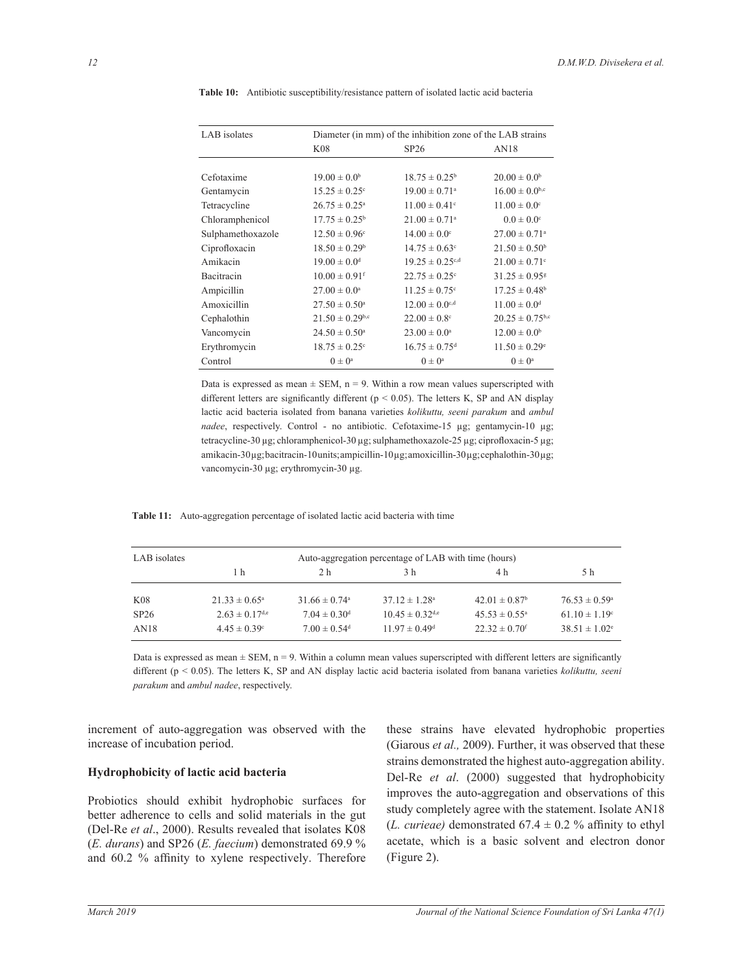| LAB isolates      | Diameter (in mm) of the inhibition zone of the LAB strains |                                 |                                |  |  |  |  |
|-------------------|------------------------------------------------------------|---------------------------------|--------------------------------|--|--|--|--|
|                   | K08                                                        | SP26                            | AN18                           |  |  |  |  |
|                   |                                                            |                                 |                                |  |  |  |  |
| Cefotaxime        | $19.00 \pm 0.0^b$                                          | $18.75 \pm 0.25^{\circ}$        | $20.00 \pm 0.0^b$              |  |  |  |  |
| Gentamycin        | $15.25 \pm 0.25$ <sup>c</sup>                              | $19.00 \pm 0.71$ <sup>a</sup>   | $16.00 \pm 0.0$ <sup>b,c</sup> |  |  |  |  |
| Tetracycline      | $26.75 \pm 0.25^{\circ}$                                   | $11.00 \pm 0.41$ <sup>c</sup>   | $11.00 \pm 0.0$ <sup>c</sup>   |  |  |  |  |
| Chloramphenicol   | $17.75 \pm 0.25^{\circ}$                                   | $21.00 \pm 0.71$ <sup>a</sup>   | $0.0 \pm 0.0$ <sup>c</sup>     |  |  |  |  |
| Sulphamethoxazole | $12.50 \pm 0.96^{\circ}$                                   | $14.00 \pm 0.0$ <sup>c</sup>    | $27.00 \pm 0.71$ <sup>a</sup>  |  |  |  |  |
| Ciprofloxacin     | $18.50 \pm 0.29$ <sup>b</sup>                              | $14.75 \pm 0.63$ <sup>c</sup>   | $21.50 \pm 0.50^b$             |  |  |  |  |
| Amikacin          | $19.00 \pm 0.0$ <sup>d</sup>                               | $19.25 \pm 0.25$ <sup>c,d</sup> | $21.00 \pm 0.71$ <sup>c</sup>  |  |  |  |  |
| Bacitracin        | $10.00 \pm 0.91$ <sup>f</sup>                              | $22.75 \pm 0.25$ <sup>c</sup>   | $31.25 \pm 0.95$ <sup>g</sup>  |  |  |  |  |
| Ampicillin        | $27.00 \pm 0.0^{\circ}$                                    | $11.25 \pm 0.75$ <sup>c</sup>   | $17.25 \pm 0.48$ <sup>b</sup>  |  |  |  |  |
| Amoxicillin       | $27.50 \pm 0.50^{\circ}$                                   | $12.00 \pm 0.0$ <sup>c,d</sup>  | $11.00 \pm 0.0$ <sup>d</sup>   |  |  |  |  |
| Cephalothin       | $21.50 \pm 0.29$ <sup>b,c</sup>                            | $22.00 \pm 0.8$ <sup>c</sup>    | $20.25 \pm 0.75^{b,c}$         |  |  |  |  |
| Vancomycin        | $24.50 \pm 0.50^{\circ}$                                   | $23.00 \pm 0.0^{\circ}$         | $12.00 \pm 0.0^b$              |  |  |  |  |
| Erythromycin      | $18.75 \pm 0.25$ <sup>c</sup>                              | $16.75 \pm 0.75$ <sup>d</sup>   | $11.50 \pm 0.29$ <sup>e</sup>  |  |  |  |  |
| Control           | $0 \pm 0^{\text{a}}$                                       | $(1) \pm (1)^a$                 | $0 \pm 0^a$                    |  |  |  |  |

Table 10: Antibiotic susceptibility/resistance pattern of isolated lactic acid bacteria

Data is expressed as mean  $\pm$  SEM, n = 9. Within a row mean values superscripted with different letters are significantly different ( $p < 0.05$ ). The letters K, SP and AN display lactic acid bacteria isolated from banana varieties kolikuttu, seeni parakum and ambul nadee, respectively. Control - no antibiotic. Cefotaxime-15 µg; gentamycin-10 µg; tetracycline-30 μg; chloramphenicol-30 μg; sulphamethoxazole-25 μg; ciprofloxacin-5 μg; amikacin-30µg; bacitracin-10units; ampicillin-10µg; amoxicillin-30µg; cephalothin-30µg; vancomycin-30 μg; erythromycin-30 μg.

Table 11: Auto-aggregation percentage of isolated lactic acid bacteria with time

| LAB isolates | Auto-aggregation percentage of LAB with time (hours) |                               |                                 |                               |                          |
|--------------|------------------------------------------------------|-------------------------------|---------------------------------|-------------------------------|--------------------------|
|              | 1 h                                                  | 2 h                           | 3 h                             | 4 h                           | 5 h                      |
| K08          | $21.33 \pm 0.65^{\circ}$                             | $31.66 \pm 0.74$ <sup>a</sup> | $37.12 \pm 1.28$ <sup>a</sup>   | $42.01 \pm 0.87$ <sup>b</sup> | $76.53 \pm 0.59^{\circ}$ |
| SP26         | $2.63 \pm 0.17$ <sup>d,e</sup>                       | $7.04 \pm 0.30$ <sup>d</sup>  | $10.45 \pm 0.32$ <sup>d,e</sup> | $45.53 \pm 0.55^{\circ}$      | $61.10 \pm 1.19$ °       |
| AN18         | $4.45 \pm 0.39^{\circ}$                              | $7.00 \pm 0.54$ <sup>d</sup>  | $11.97 \pm 0.49$ <sup>d</sup>   | $22.32 \pm 0.70$ <sup>f</sup> | $38.51 \pm 1.02^e$       |

Data is expressed as mean  $\pm$  SEM, n = 9. Within a column mean values superscripted with different letters are significantly different ( $p < 0.05$ ). The letters K, SP and AN display lactic acid bacteria isolated from banana varieties *kolikuttu, seeni* parakum and ambul nadee, respectively.

increment of auto-aggregation was observed with the increase of incubation period.

#### Hydrophobicity of lactic acid bacteria

Probiotics should exhibit hydrophobic surfaces for better adherence to cells and solid materials in the gut (Del-Re et al., 2000). Results revealed that isolates K08 (*E. durans*) and SP26 (*E. faecium*) demonstrated 69.9  $\%$ and 60.2 % affinity to xylene respectively. Therefore

these strains have elevated hydrophobic properties (Giarous et al., 2009). Further, it was observed that these strains demonstrated the highest auto-aggregation ability. Del-Re et al. (2000) suggested that hydrophobicity improves the auto-aggregation and observations of this study completely agree with the statement. Isolate AN18 (L. curieae) demonstrated  $67.4 \pm 0.2$  % affinity to ethyl acetate, which is a basic solvent and electron donor (Figure 2).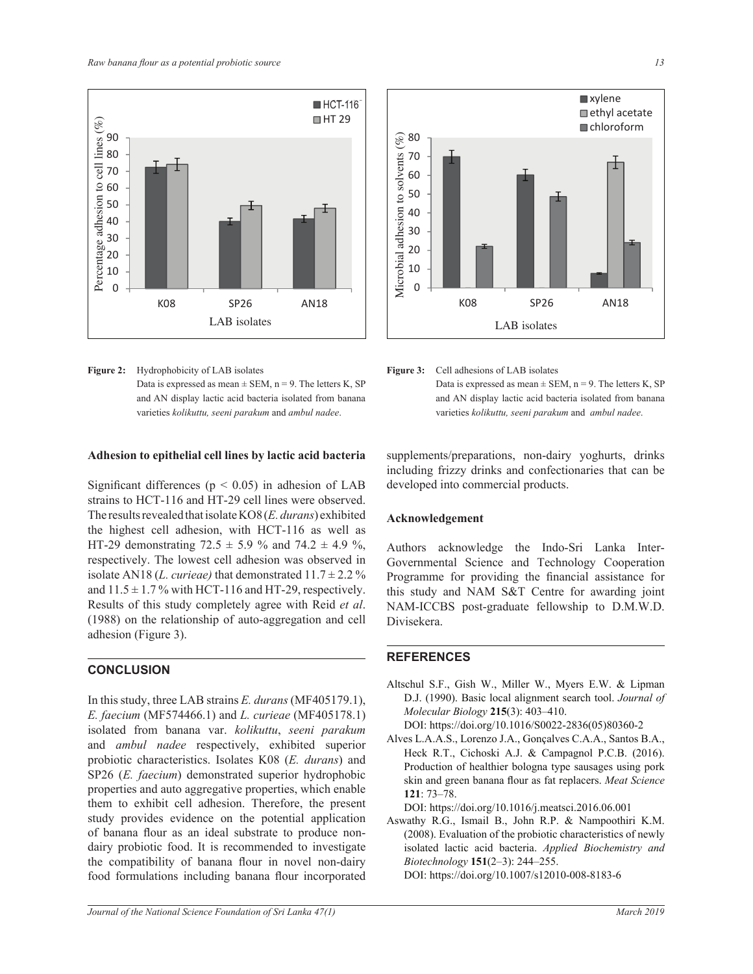

**Figure 2:** Hydrophobicity of LAB isolates Data is expressed as mean  $\pm$  SEM, n = 9. The letters K, SP and AN display lactic acid bacteria isolated from banana varieties *kolikuttu, seeni parakum* and *ambul nadee*. *Ambul nadee*.

## Adhesion to epithelial cell lines by lactic acid bacteria

Significant differences ( $p < 0.05$ ) in adhesion of LAB strains to HCT-116 and HT-29 cell lines were observed. The results revealed that isolate KO8 (*E. durans*) exhibited the highest cell adhesion, with HCT-116 as well as HT-29 demonstrating  $72.5 \pm 5.9$  % and  $74.2 \pm 4.9$  %. respectively. The lowest cell adhesion was observed in isolate AN18 (*L. curieae*) that demonstrated  $11.7 \pm 2.2$  % and  $11.5 \pm 1.7$ % with HCT-116 and HT-29, respectively. Results of this study completely agree with Reid *et al*. (1988) on the relationship of auto-aggregation and cell adhesion (Figure 3).

# **CONCLUSION**

In this study, three LAB strains *E. durans* (MF405179.1), *E. faecium* (MF574466.1) and *L. curieae* (MF405178.1) isolated from banana var. *kolikuttu seeni parakum* and *ambul nadee* respectively, exhibited superior probiotic characteristics. Isolates K08 (*E. durans*) and SP26 (*E. faecium*) demonstrated superior hydrophobic  $S120(E, \textit{Jaectum})$  demonstrated superior hydrophoote properties and auto aggregative properties, which enable them to exhibit cell adhesion. Therefore, the present study provides evidence on the potential application of banana flour as an ideal substrate to produce nondairy probiotic food. It is recommended to investigate the compatibility of banana flour in novel non-dairy food formulations including banana flour incorporated



# **Figure 3:** Cell adhesions of LAB isolates Data is expressed as mean  $\pm$  SEM, n = 9. The letters K, SP and AN display lactic acid bacteria isolated from banana

varieties *kolikuttu, seeni parakum* and *ambul nadee*.

supplements/preparations, non-dairy yoghurts, drinks including frizzy drinks and confectionaries that can be developed into commercial products.

# Acknowledgement

Authors acknowledge the Indo-Sri Lanka Inter-Governmental Science and Technology Cooperation this study and NAM S&T Centre for awarding joint NAM-ICCBS post-graduate fellowship to D.M.W.D. Programme for providing the financial assistance for Divisekera.

# **REFERENCES**

S27

Altschul S.F., Gish W., Miller W., Myers E.W. & Lipman D.J. (1990). Basic local alignment search tool. *Journal of Molecular Biology* **215**(3): 403–410.

DOI: https://doi.org/10.1016/S0022-2836(05)80360-2

skin and green banana flour as fat replacers. Meat Science 121: /3–/8.<br>DOI: https://doi.org/10.1016/j.meatsci.2016.06.001 Alves L.A.A.S., Lorenzo J.A., Gonçalves C.A.A., Santos B.A., Heck R.T., Cichoski A.J. & Campagnol P.C.B. (2016). Production of healthier bologna type sausages using pork **121**: 73–78.

(2008). Evaluation of the probiotic characteristics of newly Aswathy R.G., Ismail B., John R.P. & Nampoothiri K.M. isolated lactic acid bacteria. *Applied Biochemistry and Biotechnology* 151(2-3): 244-255. DOI: https://doi.org/10.1007/s12010-008-8183-6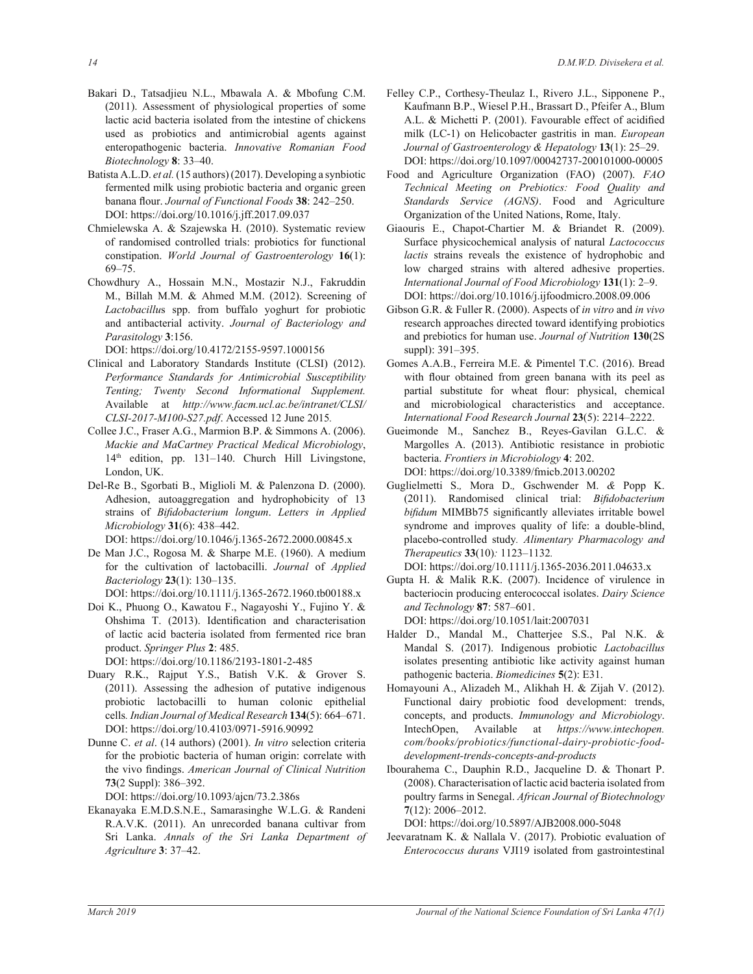- Bakari D., Tatsadjieu N.L., Mbawala A. & Mbofung C.M. (2011). Assessment of physiological properties of some lactic acid bacteria isolated from the intestine of chickens used as probiotics and antimicrobial agents against enteropathogenic bacteria. *Innovative Romanian Food Biotechnology* **8**: 33–40.
- Batista A.L.D. et al. (15 authors) (2017). Developing a synbiotic fermented milk using probiotic bacteria and organic green banana flour. Journal of Functional Foods 38: 242-250. DOI: https://doi.org/10.1016/j.jff.2017.09.037
- Chmielewska A. & Szajewska H. (2010). Systematic review of randomised controlled trials: probiotics for functional constipation. *World Journal of Gastroenterology* **16**(1):  $69 - 75.$
- Chowdhury A., Hossain M.N., Mostazir N.J., Fakruddin M., Billah M.M. & Ahmed M.M. (2012). Screening of *Lactobacillu*s spp. from buffalo yoghurt for probiotic and antibacterial activity. *Journal of Bacteriology and Parasitology* **3**

DOI: https://doi.org/10.4172/2155-9597.1000156

- Clinical and Laboratory Standards Institute (CLSI) (2012). *Performance Standards for Antimicrobial Susceptibility Tenting; Twenty Second Informational Supplement.*  Available at *http://www.facm.ucl.ac.be/intranet/CLSI/ CLSI-2017-M100-S27.pdf.* Accessed 12 June 2015.
- Collee J.C., Fraser A.G., Marmion B.P. & Simmons A. (2006). *Mackie and MaCartney Practical Medical Microbiology* 14<sup>th</sup> edition, pp. 131-140. Church Hill Livingstone, London, UK.
- Del-Re B., Sgorbati B., Miglioli M. & Palenzona D. (2000). Adhesion, autoaggregation and hydrophobicity of 13 strains of *Bifidobacterium longum*. Letters in *Applied Microbiology* **31**(6): 438–442.

DOI: https://doi.org/10.1046/j.1365-2672.2000.00845.x

De Man J.C., Rogosa M. & Sharpe M.E. (1960). A medium for the cultivation of lactobacilli. *Journal* of *Applied Bacteriology* 23(1): 130-135.

DOI: https://doi.org/10.1111/j.1365-2672.1960.tb00188.x

Doi K., Phuong O., Kawatou F., Nagayoshi Y., Fujino Y. & Ohshima T. (2013). Identification and characterisation of lactic acid bacteria isolated from fermented rice bran product. *Springer Plus* **2**

DOI: https://doi.org/10.1186/2193-1801-2-485

- Duary R.K., Rajput Y.S., Batish V.K. & Grover S. (2011). Assessing the adhesion of putative indigenous probiotic lactobacilli to human colonic epithelial cells. Indian Journal of Medical Research 134(5): 664-671. DOI: https://doi.org/10.4103/0971-5916.90992
- Dunne C. *et al*. (14 authors) (2001). *In vitro* selection criteria for the probiotic bacteria of human origin: correlate with the vivo findings. American Journal of Clinical Nutrition **73**(2 Suppl): 386–392.

DOI: https://doi.org/10.1093/ajcn/73.2.386s

Ekanayaka E.M.D.S.N.E., Samarasinghe W.L.G. & Randeni R.A.V.K. (2011). An unrecorded banana cultivar from Sri Lanka. *Annals of the Sri Lanka Department of Agriculture* **3**: 37–42.

- Felley C.P., Corthesy-Theulaz I., Rivero J.L., Sipponene P., Kaufmann B.P., Wiesel P.H., Brassart D., Pfeifer A., Blum A.L. & Michetti P. (2001). Favourable effect of acidified milk (LC-1) on Helicobacter gastritis in man. *European Journal of Gastroenterology & Hepatology* 13(1): 25-29. DOI: https://doi.org/10.1097/00042737-200101000-00005
- Food and Agriculture Organization (FAO) (2007). *FAO Technical Meeting on Prebiotics: Food Quality and Standards Service (AGNS)*. Food and Agriculture Organization of the United Nations, Rome, Italy.
- Giaouris E., Chapot-Chartier M. & Briandet R. (2009). Surface physicochemical analysis of natural *Lactococcus lactis* strains reveals the existence of hydrophobic and low charged strains with altered adhesive properties. *International Journal of Food Microbiology* **131**(1): 2–9. DOI: https://doi.org/10.1016/j.ijfoodmicro.2008.09.006
- Gibson G.R. & Fuller R. (2000). Aspects of *in vitro* and *in vivo* research approaches directed toward identifying probiotics and prebiotics for human use. *Journal of Nutrition* **130**(2S suppl): 391-395.
- Gomes A.A.B., Ferreira M.E. & Pimentel T.C. (2016). Bread with flour obtained from green banana with its peel as partial substitute for wheat flour: physical, chemical and microbiological characteristics and acceptance. International Food Research Journal 23(5): 2214-2222.
- Gueimonde M., Sanchez B., Reyes-Gavilan G.L.C.  $\&$ Margolles A. (2013). Antibiotic resistance in probiotic bacteria. *Frontiers in Microbiology* **4**: 202. DOI: https://doi.org/10.3389/fmicb.2013.00202
- Guglielmetti S.*,* Mora D.*,* Gschwender M. *&* Popp K. (2011). Randomised clinical trial: *Bifidobacterium bifidum* MIMBb75 significantly alleviates irritable bowel syndrome and improves quality of life: a double-blind, placebo-controlled study*. Alimentary Pharmacology and Therapeutics* **33**(10)*:* 1123*–*1132*.* DOI: https://doi.org/10.1111/j.1365-2036.2011.04633.x

Gupta H. & Malik R.K. (2007). Incidence of virulence in bacteriocin producing enterococcal isolates. *Dairy Science and Technology* **87**±

DOI: https://doi.org/10.1051/lait:2007031

- Halder D., Mandal M., Chatterjee S.S., Pal N.K. & Mandal S. (2017). Indigenous probiotic *Lactobacillus* isolates presenting antibiotic like activity against human pathogenic bacteria. *Biomedicines* **5**(2): E31.
- Homayouni A., Alizadeh M., Alikhah H. & Zijah V. (2012). Functional dairy probiotic food development: trends, concepts, and products. *Immunology and Microbiology*. IntechOpen, Available at https://www.intechopen. *com/books/probiotics/functional-dairy-probiotic-fooddevelopment-trends-concepts-and-products*
- Ibourahema C., Dauphin R.D., Jacqueline D. & Thonart P. (2008). Characterisation of lactic acid bacteria isolated from poultry farms in Senegal. *African Journal of Biotechnology*  **7**(12): 2006–2012.

DOI: https://doi.org/10.5897/AJB2008.000-5048

Jeevaratnam K. & Nallala V. (2017). Probiotic evaluation of *Enterococcus durans* VJI19 isolated from gastrointestinal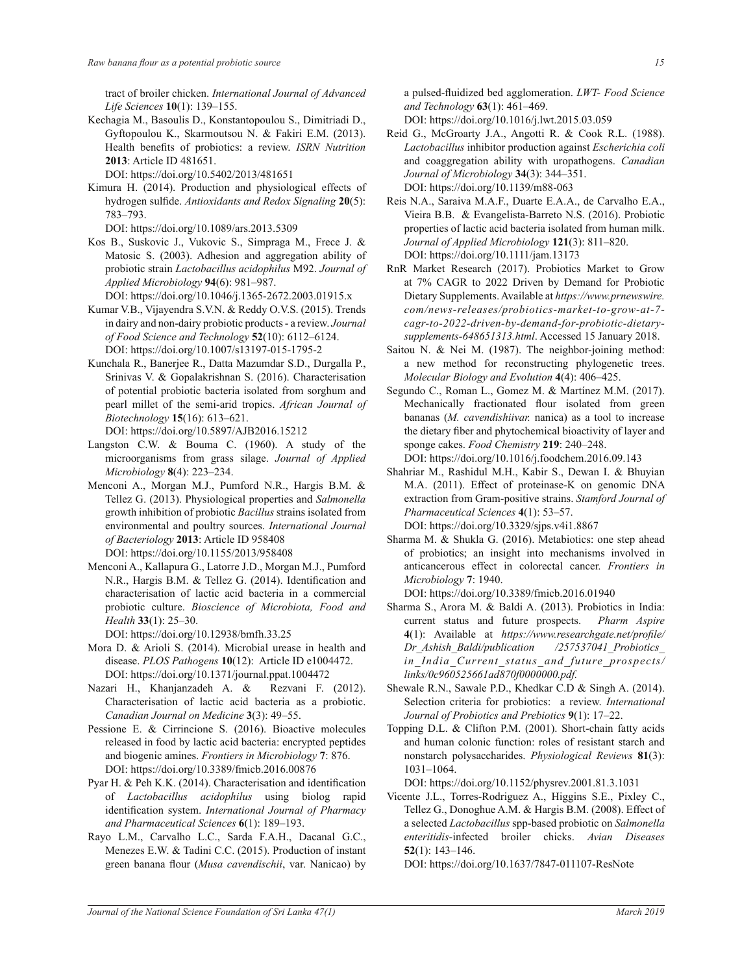tract of broiler chicken. *International Journal of Advanced*  Life Sciences **10**(1): 139-155.

Kechagia M., Basoulis D., Konstantopoulou S., Dimitriadi D., Gyftopoulou K., Skarmoutsou N. & Fakiri E.M. (2013). Health benefits of probiotics: a review. ISRN Nutrition **2013**: Article ID 481651.

DOI: https://doi.org/10.5402/2013/481651

Kimura H. (2014). Production and physiological effects of hydrogen sulfide. Antioxidants and Redox Signaling 20(5): 783–793.

DOI: https://doi.org/10.1089/ars.2013.5309

Kos B., Suskovic J., Vukovic S., Simpraga M., Frece J. & Matosic S. (2003). Adhesion and aggregation ability of probiotic strain *Lactobacillus acidophilus* M92. *Journal of Applied Microbiology* **94**(6): 981–987.

DOI: https://doi.org/10.1046/j.1365-2672.2003.01915.x

- Kumar V.B., Vijayendra S.V.N. & Reddy O.V.S. (2015). Trends in dairy and non-dairy probiotic products - a review. *Journal of Food Science and Technology* **52**(10): 6112–6124. DOI: https://doi.org/10.1007/s13197-015-1795-2
- Kunchala R., Banerjee R., Datta Mazumdar S.D., Durgalla P., Srinivas V. & Gopalakrishnan S. (2016). Characterisation of potential probiotic bacteria isolated from sorghum and pearl millet of the semi-arid tropics. *African Journal of Biotechnology* **15**(16): 613–621. DOI: https://doi.org/10.5897/AJB2016.15212
- Langston C.W.  $\&$  Bouma C. (1960). A study of the microorganisms from grass silage. *Journal of Applied Microbiology* **8**(4): 223–234.
- Menconi A., Morgan M.J., Pumford N.R., Hargis B.M. & Tellez G. (2013). Physiological properties and *Salmonella* growth inhibition of probiotic *Bacillus* strains isolated from environmental and poultry sources. *International Journal of Bacteriology* 2013: Article ID 958408 DOI: https://doi.org/10.1155/2013/958408
- Menconi A., Kallapura G., Latorre J.D., Morgan M.J., Pumford N.R., Hargis B.M. & Tellez G. (2014). Identification and characterisation of lactic acid bacteria in a commercial probiotic culture. *Bioscience of Microbiota, Food and*  Health 33(1): 25-30.

DOI: https://doi.org/10.12938/bmfh.33.25

- Mora D. & Arioli S. (2014). Microbial urease in health and disease. *PLOS Pathogens* **10**(12): Article ID e1004472. DOI: https://doi.org/10.1371/journal.ppat.1004472
- Nazari H., Khanjanzadeh A. & Rezvani F. (2012). Characterisation of lactic acid bacteria as a probiotic. Canadian Journal on Medicine 3(3): 49-55.
- Pessione E. & Cirrincione S. (2016). Bioactive molecules released in food by lactic acid bacteria: encrypted peptides and biogenic amines. *Frontiers in Microbiology* **7**: 876. DOI: https://doi.org/10.3389/fmicb.2016.00876
- Pyar H. & Peh K.K. (2014). Characterisation and identification of *Lactobacillus acidophilus* using biolog rapid identification system. International Journal of Pharmacy *and Pharmaceutical Sciences* **6**(1): 189–193.
- Rayo L.M., Carvalho L.C., Sarda F.A.H., Dacanal G.C., Menezes E.W. & Tadini C.C. (2015). Production of instant green banana flour (Musa cavendischii, var. Nanicao) by

a pulsed-fluidized bed agglomeration. LWT- Food Science *and Technology* **63**(1): 461–469.

DOI: https://doi.org/10.1016/j.lwt.2015.03.059

- Reid G., McGroarty J.A., Angotti R. & Cook R.L. (1988). *Lactobacillus* inhibitor production against *Escherichia coli* and coaggregation ability with uropathogens. *Canadian Journal of Microbiology* 34(3): 344–351. DOI: https://doi.org/10.1139/m88-063
- Reis N.A., Saraiva M.A.F., Duarte E.A.A., de Carvalho E.A., Vieira B.B. & Evangelista-Barreto N.S. (2016). Probiotic properties of lactic acid bacteria isolated from human milk. *Journal of Applied Microbiology* **121**(3): 811–820. DOI: https://doi.org/10.1111/jam.13173
- RnR Market Research (2017). Probiotics Market to Grow at 7% CAGR to 2022 Driven by Demand for Probiotic Dietary Supplements. Available at *https://www.prnewswire. com/news-releases/probiotics-market-to-grow-at-7 cagr-to-2022-driven-by-demand-for-probiotic-dietary*supplements-648651313.html. Accessed 15 January 2018.
- Saitou N. & Nei M. (1987). The neighbor-joining method: a new method for reconstructing phylogenetic trees. *Molecular Biology and Evolution* 4(4): 406–425.
- Segundo C., Roman L., Gomez M. & Martínez M.M. (2017). Mechanically fractionated flour isolated from green bananas (*M. cavendishiivar.* nanica) as a tool to increase the dietary fiber and phytochemical bioactivity of layer and sponge cakes. *Food Chemistry* **219**: 240–248.

DOI: https://doi.org/10.1016/j.foodchem.2016.09.143

- Shahriar M., Rashidul M.H., Kabir S., Dewan I. & Bhuyian M.A. (2011). Effect of proteinase-K on genomic DNA extraction from Gram-positive strains. *Stamford Journal of Pharmaceutical Sciences* 4(1): 53-57. DOI: https://doi.org/10.3329/sjps.v4i1.8867
- Sharma M. & Shukla G. (2016). Metabiotics: one step ahead of probiotics; an insight into mechanisms involved in anticancerous effect in colorectal cancer. *Frontiers in Microbiology* **7**: 1940.

DOI: https://doi.org/10.3389/fmicb.2016.01940

- Sharma S., Arora M. & Baldi A. (2013). Probiotics in India: current status and future prospects. *Pharm Aspire*  **4**(1): Available at *https://www.researchgate.net/profile/ Dr\_Ashish\_Baldi/publication /257537041\_Probiotics\_ in\_India\_Current\_status\_and\_future\_prospects/ links/0c960525661ad870f0000000.pdf.*
- Shewale R.N., Sawale P.D., Khedkar C.D  $&$  Singh A. (2014). Selection criteria for probiotics: a review. *International Journal of Probiotics and Prebiotics* **9**(1): 17–22.
- Topping D.L. & Clifton P.M. (2001). Short-chain fatty acids and human colonic function: roles of resistant starch and nonstarch polysaccharides. *Physiological Reviews* **81**(3): 1031–1064.

DOI: https://doi.org/10.1152/physrev.2001.81.3.1031

Vicente J.L., Torres-Rodriguez A., Higgins S.E., Pixley C., Tellez G., Donoghue A.M. & Hargis B.M. (2008). Effect of a selected *Lactobacillus* spp-based probiotic on *Salmonella enteritidis*-infected broiler chicks. *Avian Diseases* **52**(1): 143–146.

DOI: https://doi.org/10.1637/7847-011107-ResNote